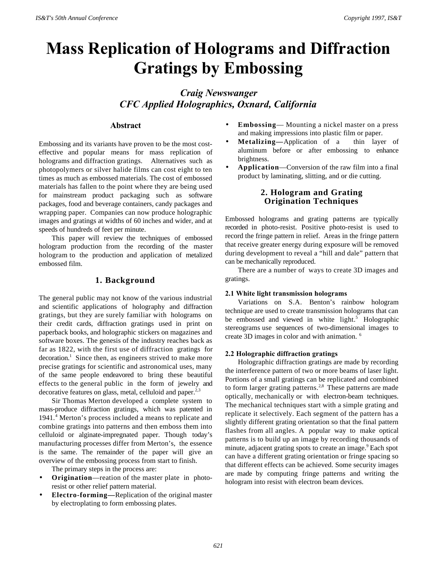# **Mass Replication of Holograms and Diffraction Gratings by Embossing**

# *Craig Newswanger CFC Applied Holographics, Oxnard, California*

## **Abstract**

Embossing and its variants have proven to be the most costeffective and popular means for mass replication of holograms and diffraction gratings. Alternatives such as photopolymers or silver halide films can cost eight to ten times as much as embossed materials. The cost of embossed materials has fallen to the point where they are being used for mainstream product packaging such as software packages, food and beverage containers, candy packages and wrapping paper. Companies can now produce holographic images and gratings at widths of 60 inches and wider, and at speeds of hundreds of feet per minute.

This paper will review the techniques of embossed hologram production from the recording of the master hologram to the production and application of metalized embossed film.

### **1. Background**

The general public may not know of the various industrial and scientific applications of holography and diffraction gratings, but they are surely familiar with holograms on their credit cards, diffraction gratings used in print on paperback books, and holographic stickers on magazines and software boxes. The genesis of the industry reaches back as far as 1822, with the first use of diffraction gratings for decoration.<sup>1</sup> Since then, as engineers strived to make more precise gratings for scientific and astronomical uses, many of the same people endeavored to bring these beautiful effects to the general public in the form of jewelry and decorative features on glass, metal, celluloid and paper. $2,3$ 

Sir Thomas Merton developed a complete system to mass-produce diffraction gratings, which was patented in 1941.<sup>4</sup> Merton's process included a means to replicate and combine gratings into patterns and then emboss them into celluloid or alginate-impregnated paper. Though today's manufacturing processes differ from Merton's, the essence is the same. The remainder of the paper will give an overview of the embossing process from start to finish.

The primary steps in the process are:

- **Origination**—reation of the master plate in photoresist or other relief pattern material.
- **Electro-forming—**Replication of the original master by electroplating to form embossing plates.
- **Embossing** Mounting a nickel master on a press and making impressions into plastic film or paper.
- **Metalizing—**Application of a thin layer of aluminum before or after embossing to enhance brightness.
- **Application**—Conversion of the raw film into a final product by laminating, slitting, and or die cutting.

## **2. Hologram and Grating Origination Techniques**

Embossed holograms and grating patterns are typically recorded in photo-resist. Positive photo-resist is used to record the fringe pattern in relief. Areas in the fringe pattern that receive greater energy during exposure will be removed during development to reveal a "hill and dale" pattern that can be mechanically reproduced.

There are a number of ways to create 3D images and gratings.

#### **2.1 White light transmission holograms**

Variations on S.A. Benton's rainbow hologram technique are used to create transmission holograms that can be embossed and viewed in white light.<sup>5</sup> Holographic stereograms use sequences of two-dimensional images to create 3D images in color and with animation. <sup>6</sup>

#### **2.2 Holographic diffraction gratings**

Holographic diffraction gratings are made by recording the interference pattern of two or more beams of laser light. Portions of a small gratings can be replicated and combined to form larger grating patterns.<sup>2,8</sup> These patterns are made optically, mechanically or with electron-beam techniques. The mechanical techniques start with a simple grating and replicate it selectively. Each segment of the pattern has a slightly different grating orientation so that the final pattern flashes from all angles. A popular way to make optical patterns is to build up an image by recording thousands of minute, adjacent grating spots to create an image.<sup>9</sup> Each spot can have a different grating orientation or fringe spacing so that different effects can be achieved. Some security images are made by computing fringe patterns and writing the hologram into resist with electron beam devices.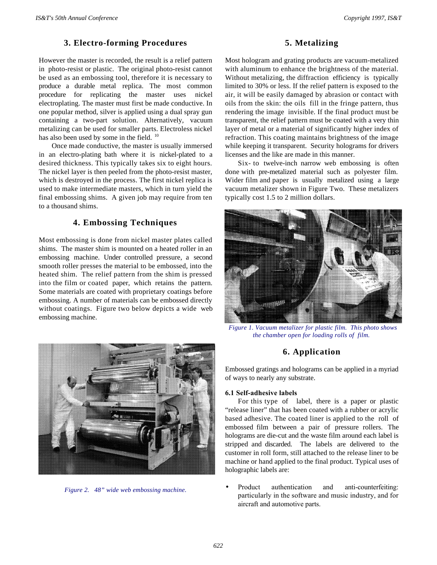# **3. Electro-forming Procedures**

However the master is recorded, the result is a relief pattern in photo-resist or plastic. The original photo-resist cannot be used as an embossing tool, therefore it is necessary to produce a durable metal replica. The most common procedure for replicating the master uses nickel electroplating. The master must first be made conductive. In one popular method, silver is applied using a dual spray gun containing a two-part solution. Alternatively, vacuum metalizing can be used for smaller parts. Electroless nickel has also been used by some in the field. <sup>10</sup>

Once made conductive, the master is usually immersed in an electro-plating bath where it is nickel-plated to a desired thickness. This typically takes six to eight hours. The nickel layer is then peeled from the photo-resist master, which is destroyed in the process. The first nickel replica is used to make intermediate masters, which in turn yield the final embossing shims. A given job may require from ten to a thousand shims.

# **4. Embossing Techniques**

Most embossing is done from nickel master plates called shims. The master shim is mounted on a heated roller in an embossing machine. Under controlled pressure, a second smooth roller presses the material to be embossed, into the heated shim. The relief pattern from the shim is pressed into the film or coated paper, which retains the pattern. Some materials are coated with proprietary coatings before embossing. A number of materials can be embossed directly without coatings. Figure two below depicts a wide web embossing machine.



*Figure 2. 48" wide web embossing machine.*

# **5. Metalizing**

Most hologram and grating products are vacuum-metalized with aluminum to enhance the brightness of the material. Without metalizing, the diffraction efficiency is typically limited to 30% or less. If the relief pattern is exposed to the air, it will be easily damaged by abrasion or contact with oils from the skin: the oils fill in the fringe pattern, thus rendering the image invisible. If the final product must be transparent, the relief pattern must be coated with a very thin layer of metal or a material of significantly higher index of refraction. This coating maintains brightness of the image while keeping it transparent. Security holograms for drivers licenses and the like are made in this manner.

Six- to twelve-inch narrow web embossing is often done with pre-metalized material such as polyester film. Wider film and paper is usually metalized using a large vacuum metalizer shown in Figure Two. These metalizers typically cost 1.5 to 2 million dollars.



*Figure 1. Vacuum metalizer for plastic film. This photo shows the chamber open for loading rolls of film.*

# **6. Application**

Embossed gratings and holograms can be applied in a myriad of ways to nearly any substrate.

## **6.1 Self-adhesive labels**

For this type of label, there is a paper or plastic "release liner" that has been coated with a rubber or acrylic based adhesive. The coated liner is applied to the roll of embossed film between a pair of pressure rollers. The holograms are die-cut and the waste film around each label is stripped and discarded. The labels are delivered to the customer in roll form, still attached to the release liner to be machine or hand applied to the final product. Typical uses of holographic labels are:

• Product authentication and anti-counterfeiting: particularly in the software and music industry, and for aircraft and automotive parts.